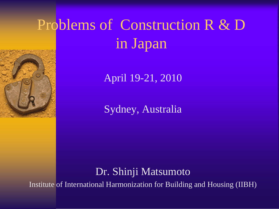#### Problems of Construction R & D in Japan

April 19-21, 2010

Sydney, Australia

Dr. Shinji Matsumoto

Institute of International Harmonization for Building and Housing (IIBH)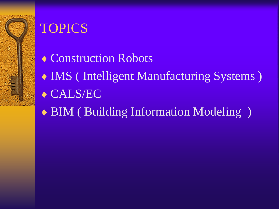

- ♦ Construction Robots
- ♦ IMS ( Intelligent Manufacturing Systems )
- ♦ CALS/EC
- ♦ BIM ( Building Information Modeling )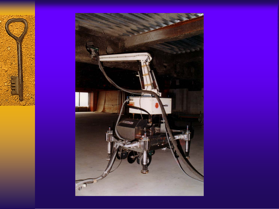

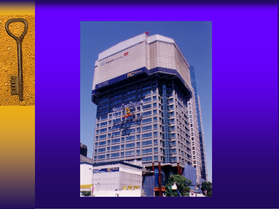

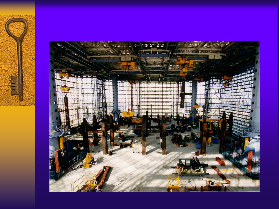

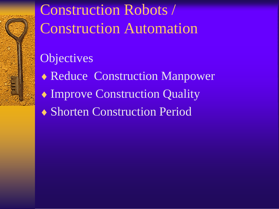# Construction Robots / Construction Automation

#### **Objectives**

- ♦ Reduce Construction Manpower
- ♦ Improve Construction Quality
- ♦ Shorten Construction Period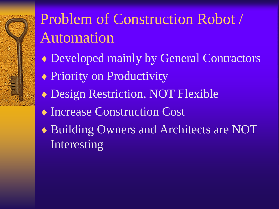#### Problem of Construction Robot / Automation

- ♦ Developed mainly by General Contractors
- ♦ Priority on Productivity
- ♦ Design Restriction, NOT Flexible
- ♦ Increase Construction Cost
- ♦ Building Owners and Architects are NOT Interesting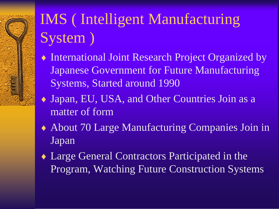# IMS ( Intelligent Manufacturing System )

- ♦ International Joint Research Project Organized by Japanese Government for Future Manufacturing Systems, Started around 1990
- ♦ Japan, EU, USA, and Other Countries Join as a matter of form
- ♦ About 70 Large Manufacturing Companies Join in Japan
- ♦ Large General Contractors Participated in the Program, Watching Future Construction Systems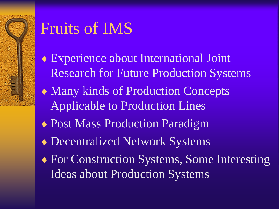# Fruits of IMS

- ♦ Experience about International Joint Research for Future Production Systems
- ♦ Many kinds of Production Concepts Applicable to Production Lines
- ♦ Post Mass Production Paradigm
- ♦ Decentralized Network Systems
- ♦ For Construction Systems, Some Interesting Ideas about Production Systems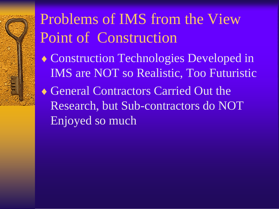#### Problems of IMS from the View Point of Construction

- ♦ Construction Technologies Developed in IMS are NOT so Realistic, Too Futuristic
- ♦ General Contractors Carried Out the Research, but Sub-contractors do NOT Enjoyed so much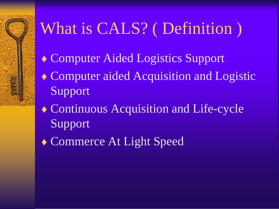# What is CALS? ( Definition )

- ♦ Computer Aided Logistics Support
- ♦ Computer aided Acquisition and Logistic Support
- ♦ Continuous Acquisition and Life-cycle Support
- ♦ Commerce At Light Speed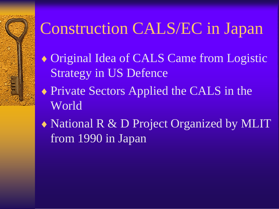## Construction CALS/EC in Japan

- ♦ Original Idea of CALS Came from Logistic Strategy in US Defence
- ♦ Private Sectors Applied the CALS in the World
- National R & D Project Organized by MLIT from 1990 in Japan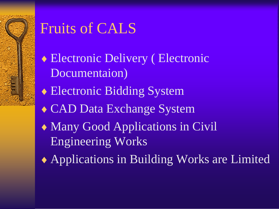#### Fruits of CALS

- ♦ Electronic Delivery ( Electronic Documentaion)
- ♦ Electronic Bidding System
- ♦ CAD Data Exchange System
- ♦ Many Good Applications in Civil Engineering Works
- ♦ Applications in Building Works are Limited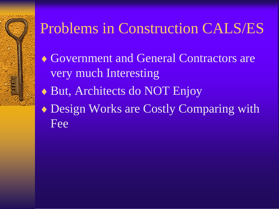#### Problems in Construction CALS/ES

- ♦ Government and General Contractors are very much Interesting
- ♦ But, Architects do NOT Enjoy
- ♦ Design Works are Costly Comparing with Fee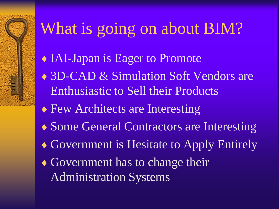## What is going on about BIM?

- ♦ IAI-Japan is Eager to Promote
- ♦ 3D-CAD & Simulation Soft Vendors are Enthusiastic to Sell their Products
- ♦ Few Architects are Interesting
- Some General Contractors are Interesting
- ♦ Government is Hesitate to Apply Entirely
- ♦ Government has to change their Administration Systems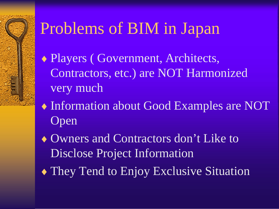# Problems of BIM in Japan

- ♦ Players ( Government, Architects, Contractors, etc.) are NOT Harmonized very much
- ♦ Information about Good Examples are NOT **Open**
- ♦ Owners and Contractors don't Like to Disclose Project Information
- ♦ They Tend to Enjoy Exclusive Situation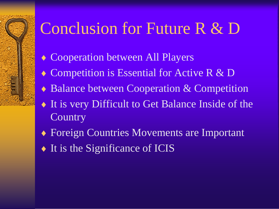#### Conclusion for Future R & D

- ♦ Cooperation between All Players
- ◆ Competition is Essential for Active R & D
- ♦ Balance between Cooperation & Competition
- ♦ It is very Difficult to Get Balance Inside of the **Country**
- ♦ Foreign Countries Movements are Important
- ♦ It is the Significance of ICIS